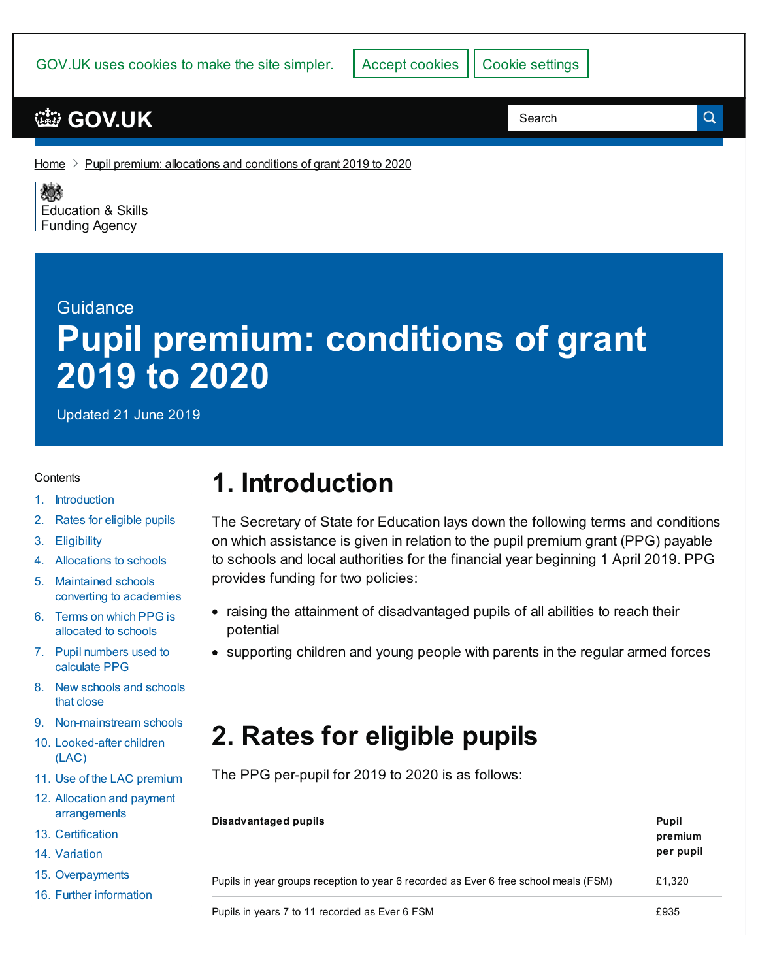## **[GOV.UK](https://www.gov.uk)**

Search

Q

[Home](https://www.gov.uk/)  $\ge$  Pupil premium: [allocations](https://www.gov.uk/government/publications/pupil-premium-allocations-and-conditions-of-grant-2019-to-2020) and conditions of grant 2019 to 2020

《感》 [Education](https://www.gov.uk/government/organisations/education-and-skills-funding-agency) & Skills **Funding Agency** 

# **Guidance Pupil premium: conditions of grant 2019 to 2020**

Updated 21 June 2019

#### **Contents**

- 1. [Introduction](#page-0-0)
- 2. Rates for [eligible](#page-0-1) pupils
- 3. [Eligibility](#page-1-0)
- 4. [Allocations](#page-2-0) to schools
- 5. Maintained schools converting to [academies](#page-2-1)
- 6. Terms on which PPG is [allocated](#page-3-0) to schools
- 7. Pupil [numbers](#page-3-1) used to calculate PPG
- 8. New [schools](#page-4-0) and schools that close
- 9. [Non-mainstream](#page-4-1) schools
- 10. [Looked-after](#page-5-0) children (LAC)
- 11. Use of the LAC [premium](#page-5-1)
- 12. Allocation and payment [arrangements](#page-5-2)
- 13. [Certification](#page-6-0)
- 14. [Variation](#page-6-1)
- 15. [Overpayments](#page-6-2)
- 16. Further [information](#page-6-3)

## <span id="page-0-0"></span>**1. Introduction**

The Secretary of State for Education lays down the following terms and conditions on which assistance is given in relation to the pupil premium grant (PPG) payable to schools and local authorities for the financial year beginning 1 April 2019. PPG provides funding for two policies:

- raising the attainment of disadvantaged pupils of all abilities to reach their potential
- supporting children and young people with parents in the regular armed forces

# <span id="page-0-1"></span>**2. Rates for eligible pupils**

The PPG per-pupil for 2019 to 2020 is as follows:

| Disadvantaged pupils                                                                 | <b>Pupil</b><br>premium<br>per pupil |
|--------------------------------------------------------------------------------------|--------------------------------------|
| Pupils in year groups reception to year 6 recorded as Ever 6 free school meals (FSM) | £1,320                               |
| Pupils in years 7 to 11 recorded as Ever 6 FSM                                       | £935                                 |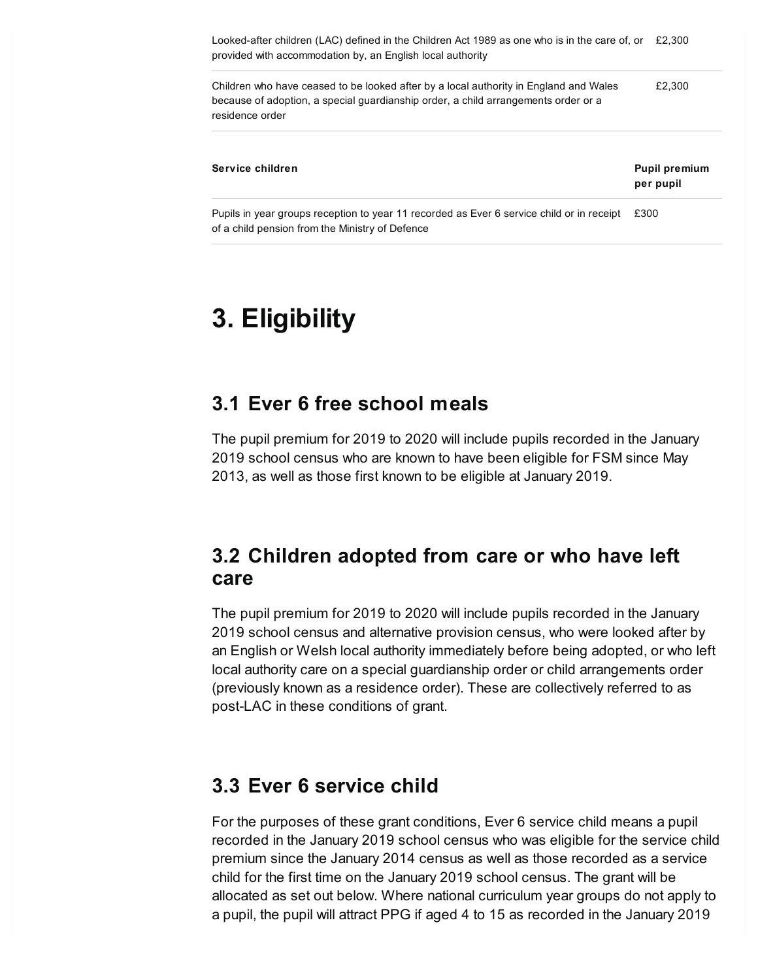Looked-after children (LAC) defined in the Children Act 1989 as one who is in the care of, or £2,300 provided with accommodation by, an English local authority

Children who have ceased to be looked after by a local authority in England and Wales because of adoption, a special guardianship order, a child arrangements order or a residence order £2,300

| Service children                                                                                                                             | <b>Pupil premium</b><br>per pupil |
|----------------------------------------------------------------------------------------------------------------------------------------------|-----------------------------------|
| Pupils in year groups reception to year 11 recorded as Ever 6 service child or in receipt<br>of a child pension from the Ministry of Defence | £300                              |

## <span id="page-1-0"></span>**3. Eligibility**

#### **3.1 Ever 6 free school meals**

The pupil premium for 2019 to 2020 will include pupils recorded in the January 2019 school census who are known to have been eligible for FSM since May 2013, as well as those first known to be eligible at January 2019.

#### **3.2 Children adopted from care or who have left care**

The pupil premium for 2019 to 2020 will include pupils recorded in the January 2019 school census and alternative provision census, who were looked after by an English or Welsh local authority immediately before being adopted, or who left local authority care on a special guardianship order or child arrangements order (previously known as a residence order). These are collectively referred to as post-LAC in these conditions of grant.

#### **3.3 Ever 6 service child**

For the purposes of these grant conditions, Ever 6 service child means a pupil recorded in the January 2019 school census who was eligible for the service child premium since the January 2014 census as well as those recorded as a service child for the first time on the January 2019 school census. The grant will be allocated as set out below. Where national curriculum year groups do not apply to a pupil, the pupil will attract PPG if aged 4 to 15 as recorded in the January 2019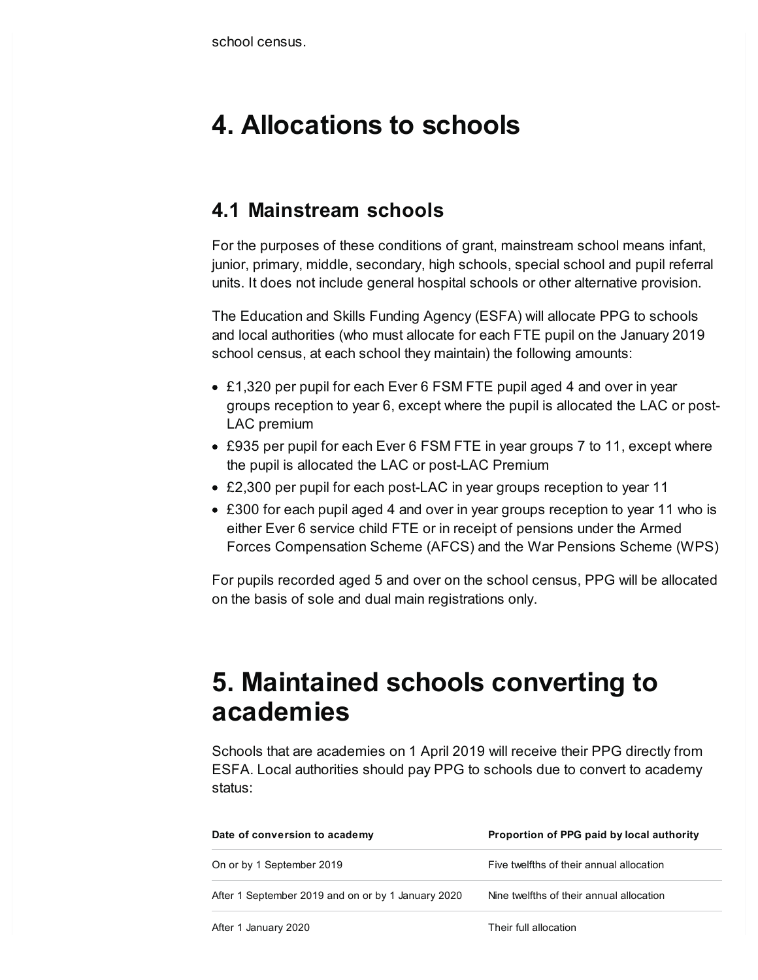## <span id="page-2-0"></span>**4. Allocations to schools**

#### **4.1 Mainstream schools**

For the purposes of these conditions of grant, mainstream school means infant, junior, primary, middle, secondary, high schools, special school and pupil referral units. It does not include general hospital schools or other alternative provision.

The Education and Skills Funding Agency (ESFA) will allocate PPG to schools and local authorities (who must allocate for each FTE pupil on the January 2019 school census, at each school they maintain) the following amounts:

- £1,320 per pupil for each Ever 6 FSM FTE pupil aged 4 and over in year groups reception to year 6, except where the pupil is allocated the LAC or post-LAC premium
- £935 per pupil for each Ever 6 FSM FTE in year groups 7 to 11, except where the pupil is allocated the LAC or post-LAC Premium
- £2,300 per pupil for each post-LAC in year groups reception to year 11
- £300 for each pupil aged 4 and over in year groups reception to year 11 who is either Ever 6 service child FTE or in receipt of pensions under the Armed Forces Compensation Scheme (AFCS) and the War Pensions Scheme (WPS)

For pupils recorded aged 5 and over on the school census, PPG will be allocated on the basis of sole and dual main registrations only.

## <span id="page-2-1"></span>**5. Maintained schools converting to academies**

Schools that are academies on 1 April 2019 will receive their PPG directly from ESFA. Local authorities should pay PPG to schools due to convert to academy status:

| Date of conversion to academy                      | Proportion of PPG paid by local authority |
|----------------------------------------------------|-------------------------------------------|
| On or by 1 September 2019                          | Five twelfths of their annual allocation  |
| After 1 September 2019 and on or by 1 January 2020 | Nine twelfths of their annual allocation  |
| After 1 January 2020                               | Their full allocation                     |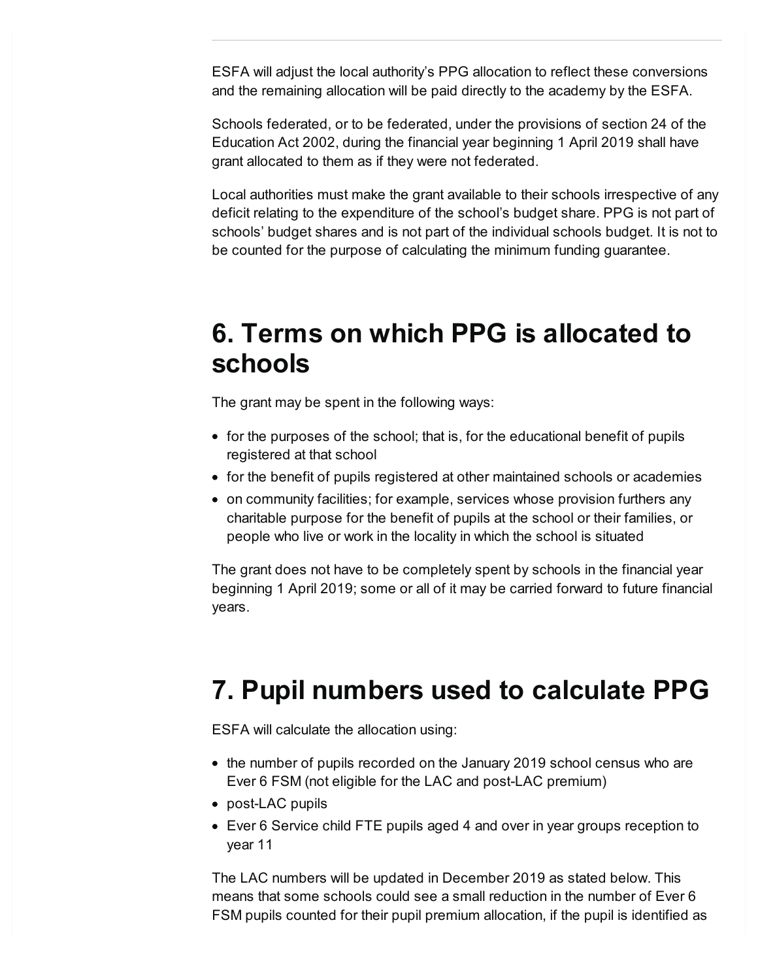ESFA will adjust the local authority's PPG allocation to reflect these conversions and the remaining allocation will be paid directly to the academy by the ESFA.

Schools federated, or to be federated, under the provisions of section 24 of the Education Act 2002, during the financial year beginning 1 April 2019 shall have grant allocated to them as if they were not federated.

Local authorities must make the grant available to their schools irrespective of any deficit relating to the expenditure of the school's budget share. PPG is not part of schools' budget shares and is not part of the individual schools budget. It is not to be counted for the purpose of calculating the minimum funding guarantee.

#### <span id="page-3-0"></span>**6. Terms on which PPG is allocated to schools**

The grant may be spent in the following ways:

- for the purposes of the school; that is, for the educational benefit of pupils registered at that school
- for the benefit of pupils registered at other maintained schools or academies
- on community facilities; for example, services whose provision furthers any charitable purpose for the benefit of pupils at the school or their families, or people who live or work in the locality in which the school is situated

The grant does not have to be completely spent by schools in the financial year beginning 1 April 2019; some or all of it may be carried forward to future financial years.

# <span id="page-3-1"></span>**7. Pupil numbers used to calculate PPG**

ESFA will calculate the allocation using:

- the number of pupils recorded on the January 2019 school census who are Ever 6 FSM (not eligible for the LAC and post-LAC premium)
- post-LAC pupils
- Ever 6 Service child FTE pupils aged 4 and over in year groups reception to year 11

The LAC numbers will be updated in December 2019 as stated below. This means that some schools could see a small reduction in the number of Ever 6 FSM pupils counted for their pupil premium allocation, if the pupil is identified as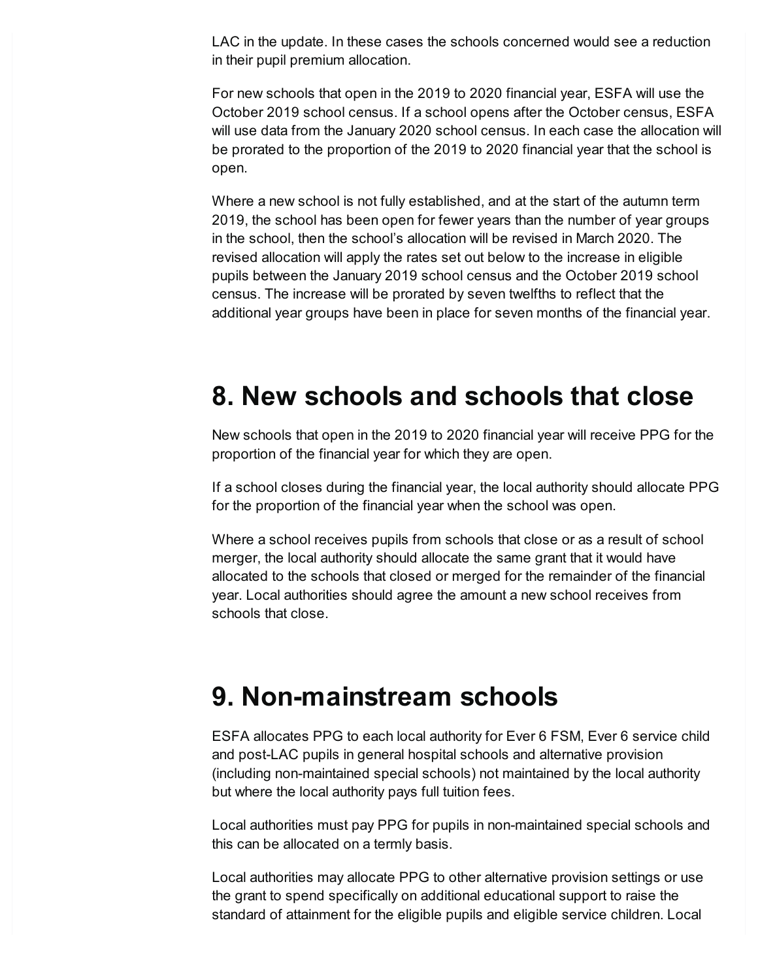LAC in the update. In these cases the schools concerned would see a reduction in their pupil premium allocation.

For new schools that open in the 2019 to 2020 financial year, ESFA will use the October 2019 school census. If a school opens after the October census, ESFA will use data from the January 2020 school census. In each case the allocation will be prorated to the proportion of the 2019 to 2020 financial year that the school is open.

Where a new school is not fully established, and at the start of the autumn term 2019, the school has been open for fewer years than the number of year groups in the school, then the school's allocation will be revised in March 2020. The revised allocation will apply the rates set out below to the increase in eligible pupils between the January 2019 school census and the October 2019 school census. The increase will be prorated by seven twelfths to reflect that the additional year groups have been in place for seven months of the financial year.

#### <span id="page-4-0"></span>**8. New schools and schools that close**

New schools that open in the 2019 to 2020 financial year will receive PPG for the proportion of the financial year for which they are open.

If a school closes during the financial year, the local authority should allocate PPG for the proportion of the financial year when the school was open.

Where a school receives pupils from schools that close or as a result of school merger, the local authority should allocate the same grant that it would have allocated to the schools that closed or merged for the remainder of the financial year. Local authorities should agree the amount a new school receives from schools that close.

## <span id="page-4-1"></span>**9. Non-mainstream schools**

ESFA allocates PPG to each local authority for Ever 6 FSM, Ever 6 service child and post-LAC pupils in general hospital schools and alternative provision (including non-maintained special schools) not maintained by the local authority but where the local authority pays full tuition fees.

Local authorities must pay PPG for pupils in non-maintained special schools and this can be allocated on a termly basis.

Local authorities may allocate PPG to other alternative provision settings or use the grant to spend specifically on additional educational support to raise the standard of attainment for the eligible pupils and eligible service children. Local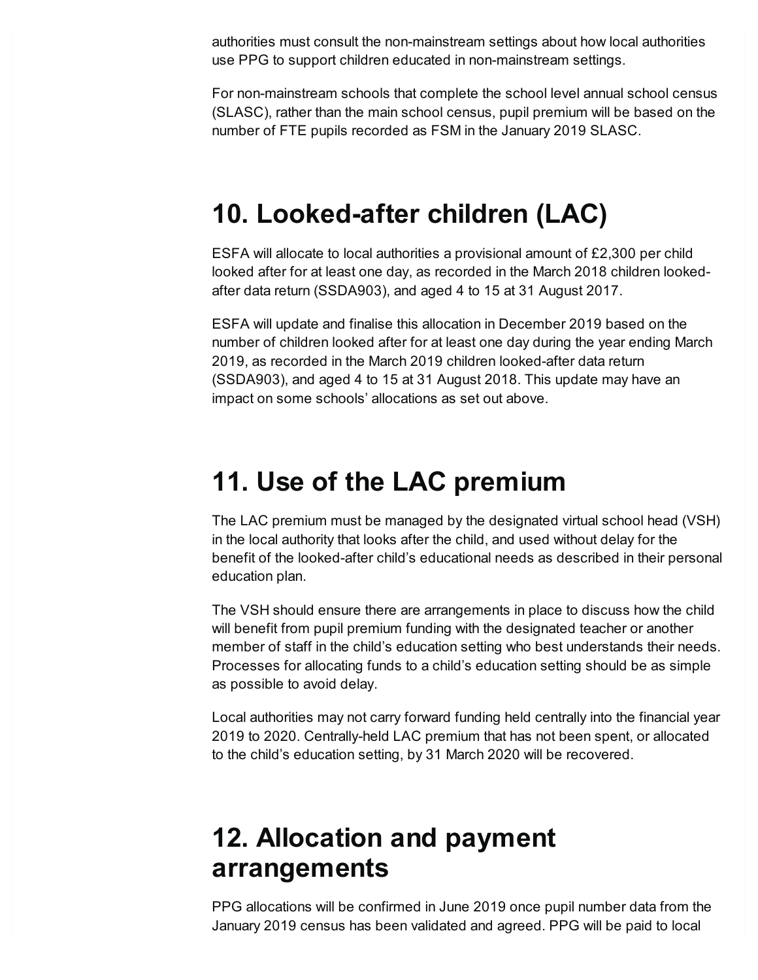authorities must consult the non-mainstream settings about how local authorities use PPG to support children educated in non-mainstream settings.

For non-mainstream schools that complete the school level annual school census (SLASC), rather than the main school census, pupil premium will be based on the number of FTE pupils recorded as FSM in the January 2019 SLASC.

## <span id="page-5-0"></span>**10. Looked-after children (LAC)**

ESFA will allocate to local authorities a provisional amount of £2,300 per child looked after for at least one day, as recorded in the March 2018 children lookedafter data return (SSDA903), and aged 4 to 15 at 31 August 2017.

ESFA will update and finalise this allocation in December 2019 based on the number of children looked after for at least one day during the year ending March 2019, as recorded in the March 2019 children looked-after data return (SSDA903), and aged 4 to 15 at 31 August 2018. This update may have an impact on some schools' allocations as set out above.

## <span id="page-5-1"></span>**11. Use of the LAC premium**

The LAC premium must be managed by the designated virtual school head (VSH) in the local authority that looks after the child, and used without delay for the benefit of the looked-after child's educational needs as described in their personal education plan.

The VSH should ensure there are arrangements in place to discuss how the child will benefit from pupil premium funding with the designated teacher or another member of staff in the child's education setting who best understands their needs. Processes for allocating funds to a child's education setting should be as simple as possible to avoid delay.

Local authorities may not carry forward funding held centrally into the financial year 2019 to 2020. Centrally-held LAC premium that has not been spent, or allocated to the child's education setting, by 31 March 2020 will be recovered.

## <span id="page-5-2"></span>**12. Allocation and payment arrangements**

PPG allocations will be confirmed in June 2019 once pupil number data from the January 2019 census has been validated and agreed. PPG will be paid to local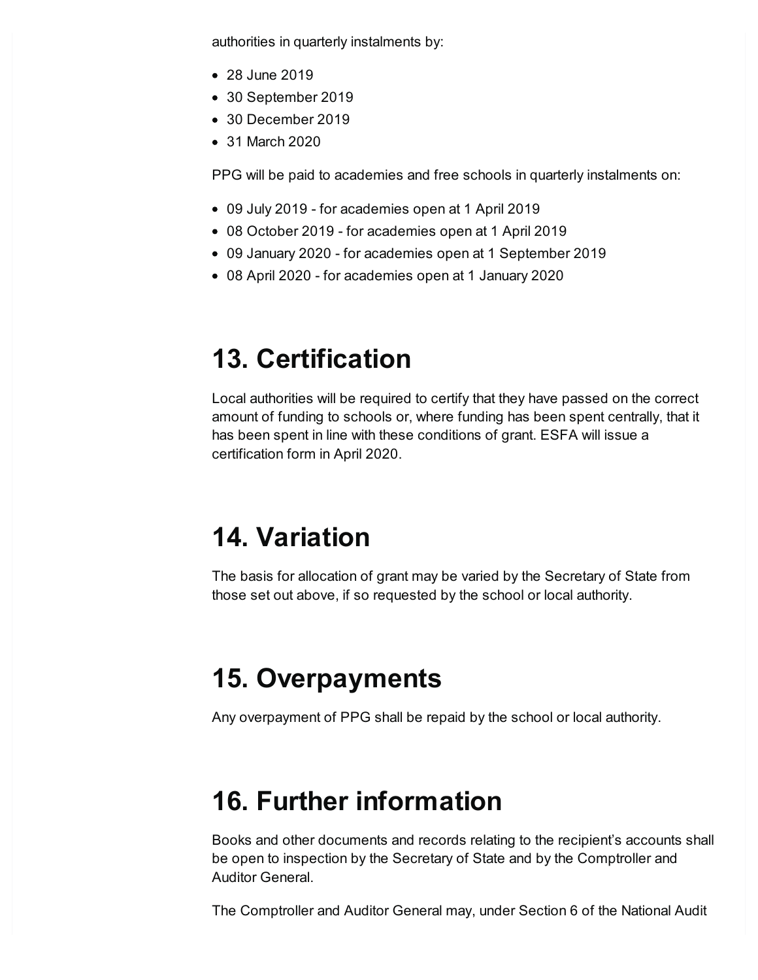authorities in quarterly instalments by:

- 28 June 2019
- 30 September 2019
- 30 December 2019
- 31 March 2020

PPG will be paid to academies and free schools in quarterly instalments on:

- 09 July 2019 for academies open at 1 April 2019
- 08 October 2019 for academies open at 1 April 2019
- 09 January 2020 for academies open at 1 September 2019
- 08 April 2020 for academies open at 1 January 2020

# <span id="page-6-0"></span>**13. Certification**

Local authorities will be required to certify that they have passed on the correct amount of funding to schools or, where funding has been spent centrally, that it has been spent in line with these conditions of grant. ESFA will issue a certification form in April 2020.

# <span id="page-6-1"></span>**14. Variation**

The basis for allocation of grant may be varied by the Secretary of State from those set out above, if so requested by the school or local authority.

# <span id="page-6-2"></span>**15. Overpayments**

Any overpayment of PPG shall be repaid by the school or local authority.

# <span id="page-6-3"></span>**16. Further information**

Books and other documents and records relating to the recipient's accounts shall be open to inspection by the Secretary of State and by the Comptroller and Auditor General.

The Comptroller and Auditor General may, under Section 6 of the National Audit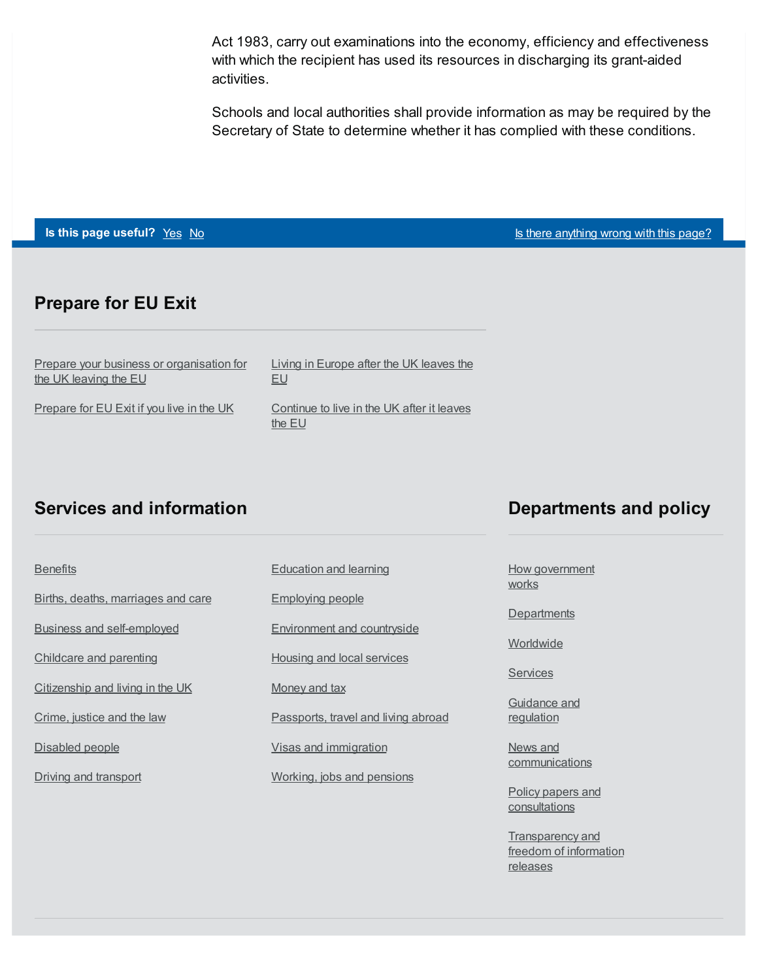Act 1983, carry out examinations into the economy, efficiency and effectiveness with which the recipient has used its resources in discharging its grant-aided activities.

Schools and local authorities shall provide information as may be required by the Secretary of State to determine whether it has complied with these conditions.

**Is this page useful?** [Yes](https://www.gov.uk/contact/govuk) [No](https://www.gov.uk/contact/govuk) Is the Table 1 and Table 1 and Table 1 and Table 1 and Table 1 and Table 1 and Table 1 and Table 1 and Table 1 and Table 1 and Table 1 and Table 1 and Table 1 and Table 1 and Table 1 and Table

#### **Prepare for EU Exit**

| Prepare your business or organisation for | Living in Europe after the UK leaves the             |
|-------------------------------------------|------------------------------------------------------|
| the UK leaving the EU                     | EU                                                   |
| Prepare for EU Exit if you live in the UK | Continue to live in the UK after it leaves<br>the EU |

#### **Services and information**

| <b>Benefits</b>                    | <b>Education and learning</b>       |
|------------------------------------|-------------------------------------|
| Births, deaths, marriages and care | <b>Employing people</b>             |
| <b>Business and self-employed</b>  | Environment and countryside         |
| Childcare and parenting            | Housing and local services          |
| Citizenship and living in the UK   | Money and tax                       |
| Crime, justice and the law         | Passports, travel and living abroad |
| Disabled people                    | Visas and immigration               |
| Driving and transport              | Working, jobs and pensions          |

#### **Departments and policy**

How [government](https://www.gov.uk/government/how-government-works) works

**[Departments](https://www.gov.uk/government/organisations)** 

**[Worldwide](https://www.gov.uk/world)** 

**[Services](https://www.gov.uk/search/services)** 

[Guidance](https://www.gov.uk/search/guidance-and-regulation) and regulation

News and [communications](https://www.gov.uk/search/news-and-communications)

Policy papers and **[consultations](https://www.gov.uk/search/policy-papers-and-consultations)** 

**[Transparency](https://www.gov.uk/search/transparency-and-freedom-of-information-releases) and** freedom of information releases